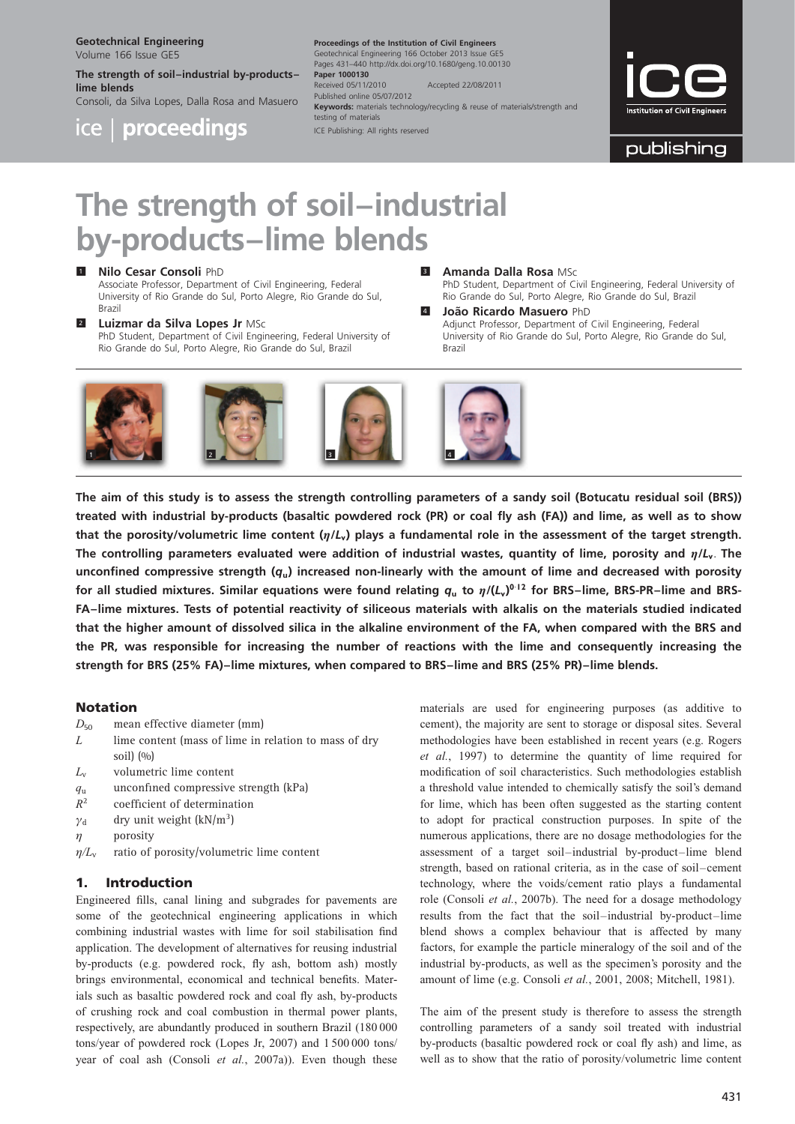#### Geotechnical Engineering

Volume 166 Issue GE5

#### The strength of soil–industrial by-products– lime blends

Consoli, da Silva Lopes, Dalla Rosa and Masuero

proceedings **ICe** 

Proceedings of the Institution of Civil Engineers Geotechnical Engineering 166 October 2013 Issue GE5 Pages 431–440 http://dx.doi.org/10.1680/geng.10.00130 Paper 1000130<br>Received 05/11/2010 Accepted 22/08/2011 Published online 05/07/2012 Keywords: materials technology/recycling & reuse of materials/strength and testing of materials

ICE Publishing: All rights reserved



publishing

# The strength of soil–industrial by-products–lime blends

#### **1 Nilo Cesar Consoli PhD**

Associate Professor, Department of Civil Engineering, Federal University of Rio Grande do Sul, Porto Alegre, Rio Grande do Sul, Brazil

#### **2** Luizmar da Silva Lopes Jr MSc

PhD Student, Department of Civil Engineering, Federal University of Rio Grande do Sul, Porto Alegre, Rio Grande do Sul, Brazil

# **B** Amanda Dalla Rosa MSc

PhD Student, Department of Civil Engineering, Federal University of Rio Grande do Sul, Porto Alegre, Rio Grande do Sul, Brazil

João Ricardo Masuero PhD Adjunct Professor, Department of Civil Engineering, Federal University of Rio Grande do Sul, Porto Alegre, Rio Grande do Sul, Brazil



The aim of this study is to assess the strength controlling parameters of a sandy soil (Botucatu residual soil (BRS)) treated with industrial by-products (basaltic powdered rock (PR) or coal fly ash (FA)) and lime, as well as to show that the porosity/volumetric lime content ( $\eta/L_{\sf v}$ ) plays a fundamental role in the assessment of the target strength. The controlling parameters evaluated were addition of industrial wastes, quantity of lime, porosity and  $\eta/L$ . The unconfined compressive strength  $(q_u)$  increased non-linearly with the amount of lime and decreased with porosity for all studied mixtures. Similar equations were found relating  $q_u$  to  $\eta/(\mathcal{L}_v)^{0.12}$  for BRS–lime, BRS-PR–lime and BRS-FA–lime mixtures. Tests of potential reactivity of siliceous materials with alkalis on the materials studied indicated that the higher amount of dissolved silica in the alkaline environment of the FA, when compared with the BRS and the PR, was responsible for increasing the number of reactions with the lime and consequently increasing the strength for BRS (25% FA)–lime mixtures, when compared to BRS–lime and BRS (25% PR)–lime blends.

# Notation

- $D_{50}$  mean effective diameter (mm)
- $L$  lime content (mass of lime in relation to mass of dry soil)  $(9/0)$
- $L_{\rm v}$  volumetric lime content
- $q_{\rm u}$  unconfined compressive strength (kPa)
- $R^2$  coefficient of determination
- $\gamma_d$  dry unit weight (kN/m<sup>3</sup>)
- $\eta$ porosity
- $\eta/L_{v}$ ratio of porosity/volumetric lime content

# 1. Introduction

Engineered fills, canal lining and subgrades for pavements are some of the geotechnical engineering applications in which combining industrial wastes with lime for soil stabilisation find application. The development of alternatives for reusing industrial by-products (e.g. powdered rock, fly ash, bottom ash) mostly brings environmental, economical and technical benefits. Materials such as basaltic powdered rock and coal fly ash, by-products of crushing rock and coal combustion in thermal power plants, respectively, are abundantly produced in southern Brazil (180 000 tons/year of powdered rock (Lopes Jr, 2007) and 1 500 000 tons/ year of coal ash (Consoli et al., 2007a)). Even though these

materials are used for engineering purposes (as additive to cement), the majority are sent to storage or disposal sites. Several methodologies have been established in recent years (e.g. Rogers et al., 1997) to determine the quantity of lime required for modification of soil characteristics. Such methodologies establish a threshold value intended to chemically satisfy the soil's demand for lime, which has been often suggested as the starting content to adopt for practical construction purposes. In spite of the numerous applications, there are no dosage methodologies for the assessment of a target soil–industrial by-product–lime blend strength, based on rational criteria, as in the case of soil–cement technology, where the voids/cement ratio plays a fundamental role (Consoli et al., 2007b). The need for a dosage methodology results from the fact that the soil–industrial by-product–lime blend shows a complex behaviour that is affected by many factors, for example the particle mineralogy of the soil and of the industrial by-products, as well as the specimen's porosity and the amount of lime (e.g. Consoli et al., 2001, 2008; Mitchell, 1981).

The aim of the present study is therefore to assess the strength controlling parameters of a sandy soil treated with industrial by-products (basaltic powdered rock or coal fly ash) and lime, as well as to show that the ratio of porosity/volumetric lime content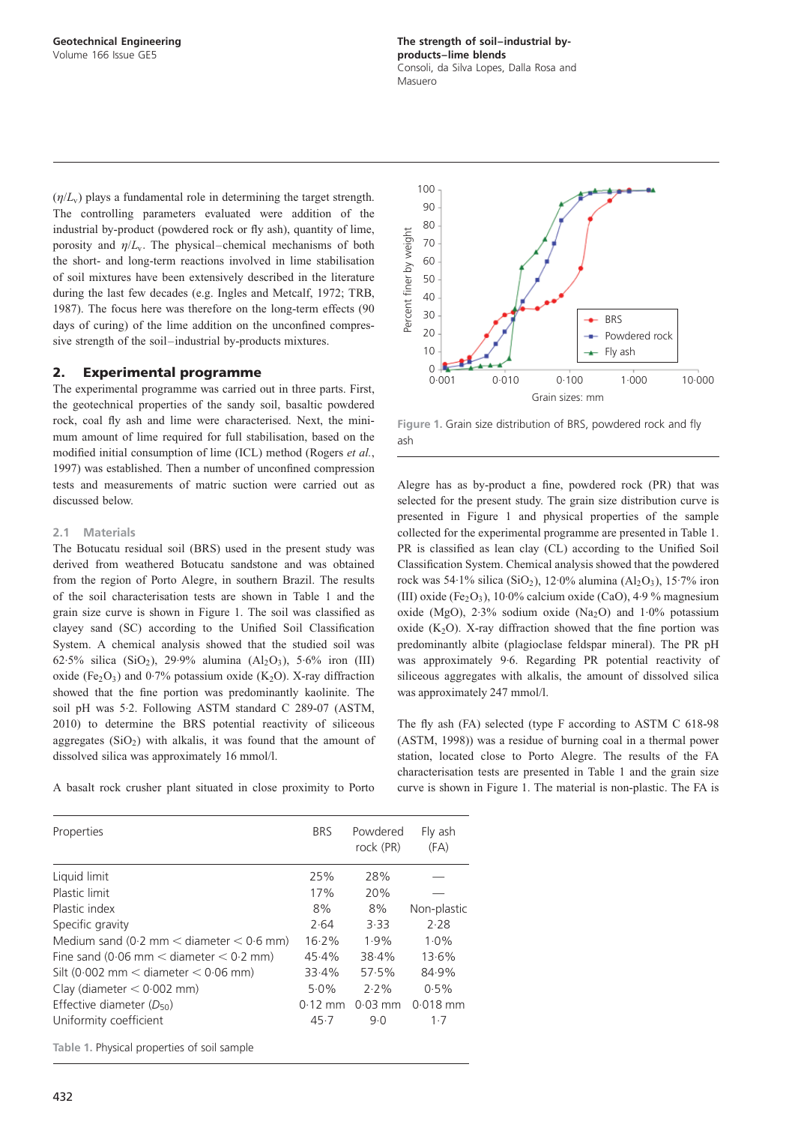$(\eta/L_v)$  plays a fundamental role in determining the target strength. The controlling parameters evaluated were addition of the industrial by-product (powdered rock or fly ash), quantity of lime, porosity and  $\eta/L_v$ . The physical–chemical mechanisms of both the short- and long-term reactions involved in lime stabilisation of soil mixtures have been extensively described in the literature during the last few decades (e.g. Ingles and Metcalf, 1972; TRB, 1987). The focus here was therefore on the long-term effects (90 days of curing) of the lime addition on the unconfined compressive strength of the soil–industrial by-products mixtures.

## 2. Experimental programme

The experimental programme was carried out in three parts. First, the geotechnical properties of the sandy soil, basaltic powdered rock, coal fly ash and lime were characterised. Next, the minimum amount of lime required for full stabilisation, based on the modified initial consumption of lime (ICL) method (Rogers et al., 1997) was established. Then a number of unconfined compression tests and measurements of matric suction were carried out as discussed below.

## 2.1 Materials

The Botucatu residual soil (BRS) used in the present study was derived from weathered Botucatu sandstone and was obtained from the region of Porto Alegre, in southern Brazil. The results of the soil characterisation tests are shown in Table 1 and the grain size curve is shown in Figure 1. The soil was classified as clayey sand (SC) according to the Unified Soil Classification System. A chemical analysis showed that the studied soil was 62.5% silica (SiO<sub>2</sub>), 29.9% alumina (Al<sub>2</sub>O<sub>3</sub>), 5.6% iron (III) oxide (Fe<sub>2</sub>O<sub>3</sub>) and 0.7% potassium oxide (K<sub>2</sub>O). X-ray diffraction showed that the fine portion was predominantly kaolinite. The soil pH was 5. 2. Following ASTM standard C 289-07 (ASTM, 2010) to determine the BRS potential reactivity of siliceous aggregates  $(SiO<sub>2</sub>)$  with alkalis, it was found that the amount of dissolved silica was approximately 16 mmol/l.

A basalt rock crusher plant situated in close proximity to Porto



Figure 1. Grain size distribution of BRS, powdered rock and fly ash

Alegre has as by-product a fine, powdered rock (PR) that was selected for the present study. The grain size distribution curve is presented in Figure 1 and physical properties of the sample collected for the experimental programme are presented in Table 1. PR is classified as lean clay (CL) according to the Unified Soil Classification System. Chemical analysis showed that the powdered rock was 54.1% silica (SiO<sub>2</sub>), 12.0% alumina (Al<sub>2</sub>O<sub>3</sub>), 15.7% iron (III) oxide (Fe<sub>2</sub>O<sub>3</sub>), 10<sup>.</sup>0% calcium oxide (CaO), 4.9 % magnesium oxide (MgO),  $2.3\%$  sodium oxide (Na<sub>2</sub>O) and  $1.0\%$  potassium oxide  $(K_2O)$ . X-ray diffraction showed that the fine portion was predominantly albite (plagioclase feldspar mineral). The PR pH was approximately 9.6. Regarding PR potential reactivity of siliceous aggregates with alkalis, the amount of dissolved silica was approximately 247 mmol/l.

The fly ash (FA) selected (type F according to ASTM C 618-98 (ASTM, 1998)) was a residue of burning coal in a thermal power station, located close to Porto Alegre. The results of the FA characterisation tests are presented in Table 1 and the grain size curve is shown in Figure 1. The material is non-plastic. The FA is

| Properties                                   | <b>BRS</b>          | Powdered<br>rock (PR) | Fly ash<br>(FA) |
|----------------------------------------------|---------------------|-----------------------|-----------------|
| Liquid limit                                 | 25%                 | 28%                   |                 |
| Plastic limit                                | 17%                 | 20%                   |                 |
| Plastic index                                | 8%                  | 8%                    | Non-plastic     |
| Specific gravity                             | 2.64                | 3.33                  | 2.28            |
| Medium sand (0.2 mm $<$ diameter $<$ 0.6 mm) | 16.2%               | $1.9\%$               | $1.0\%$         |
| Fine sand (0.06 mm $<$ diameter $<$ 0.2 mm)  | 45.4%               | 38.4%                 | 13.6%           |
| Silt (0.002 mm $<$ diameter $<$ 0.06 mm)     | 33.4%               | 57.5%                 | 84.9%           |
| Clay (diameter $< 0.002$ mm)                 | $5.0\%$             | $2.2\%$               | $0.5\%$         |
| Effective diameter $(D_{50})$                | $0.12 \, \text{mm}$ | $0.03$ mm             | $0.018$ mm      |
| Uniformity coefficient                       | 45.7                | $9-0$                 | $1-7$           |

Table 1. Physical properties of soil sample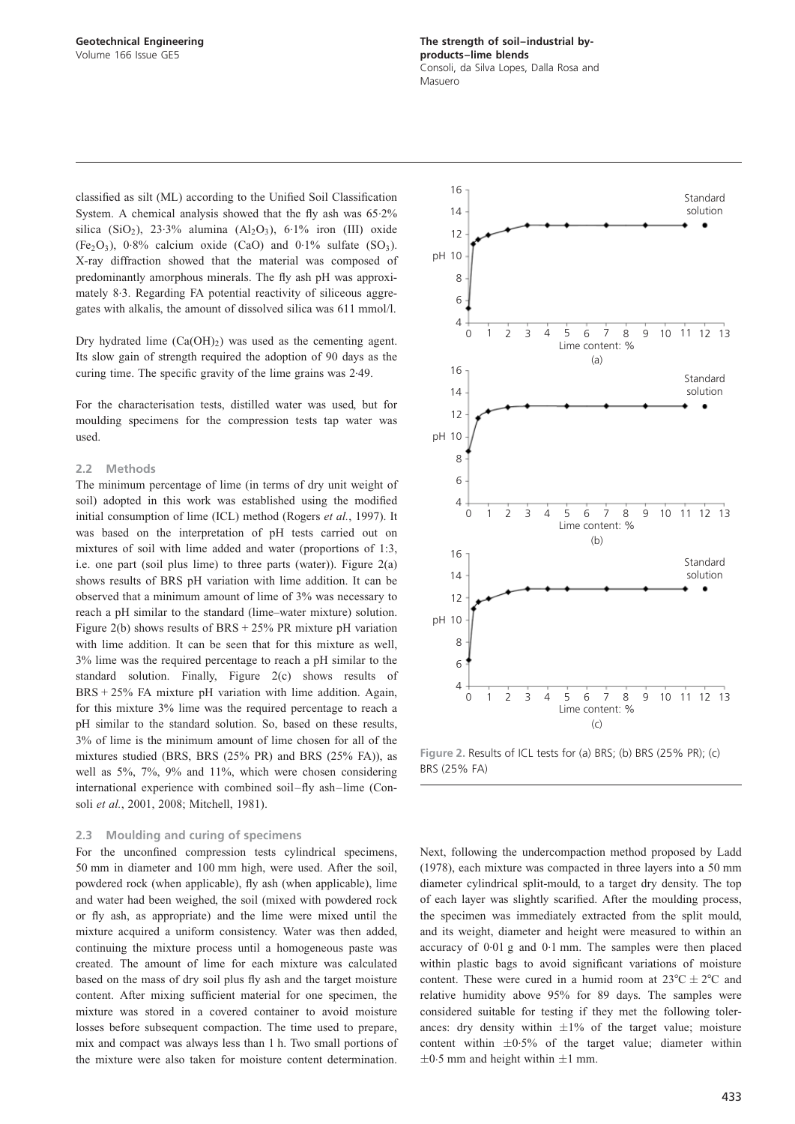classified as silt (ML) according to the Unified Soil Classification System. A chemical analysis showed that the fly ash was 65.2% silica  $(SiO<sub>2</sub>)$ , 23.3% alumina  $(Al<sub>2</sub>O<sub>3</sub>)$ , 6.1% iron (III) oxide  $(Fe<sub>2</sub>O<sub>3</sub>)$ , 0.8% calcium oxide (CaO) and 0.1% sulfate (SO<sub>3</sub>). X-ray diffraction showed that the material was composed of predominantly amorphous minerals. The fly ash pH was approximately 8. 3. Regarding FA potential reactivity of siliceous aggregates with alkalis, the amount of dissolved silica was 611 mmol/l.

Dry hydrated lime  $(Ca(OH)_2)$  was used as the cementing agent. Its slow gain of strength required the adoption of 90 days as the curing time. The specific gravity of the lime grains was 2. 49.

For the characterisation tests, distilled water was used, but for moulding specimens for the compression tests tap water was used.

#### 2.2 Methods

The minimum percentage of lime (in terms of dry unit weight of soil) adopted in this work was established using the modified initial consumption of lime (ICL) method (Rogers et al., 1997). It was based on the interpretation of pH tests carried out on mixtures of soil with lime added and water (proportions of 1:3, i.e. one part (soil plus lime) to three parts (water)). Figure 2(a) shows results of BRS pH variation with lime addition. It can be observed that a minimum amount of lime of 3% was necessary to reach a pH similar to the standard (lime–water mixture) solution. Figure 2(b) shows results of BRS + 25% PR mixture pH variation with lime addition. It can be seen that for this mixture as well, 3% lime was the required percentage to reach a pH similar to the standard solution. Finally, Figure 2(c) shows results of BRS + 25% FA mixture pH variation with lime addition. Again, for this mixture 3% lime was the required percentage to reach a pH similar to the standard solution. So, based on these results, 3% of lime is the minimum amount of lime chosen for all of the mixtures studied (BRS, BRS (25% PR) and BRS (25% FA)), as well as 5%, 7%, 9% and 11%, which were chosen considering international experience with combined soil–fly ash–lime (Consoli et al., 2001, 2008; Mitchell, 1981).

## 2.3 Moulding and curing of specimens

For the unconfined compression tests cylindrical specimens, 50 mm in diameter and 100 mm high, were used. After the soil, powdered rock (when applicable), fly ash (when applicable), lime and water had been weighed, the soil (mixed with powdered rock or fly ash, as appropriate) and the lime were mixed until the mixture acquired a uniform consistency. Water was then added, continuing the mixture process until a homogeneous paste was created. The amount of lime for each mixture was calculated based on the mass of dry soil plus fly ash and the target moisture content. After mixing sufficient material for one specimen, the mixture was stored in a covered container to avoid moisture losses before subsequent compaction. The time used to prepare, mix and compact was always less than 1 h. Two small portions of the mixture were also taken for moisture content determination.



Figure 2. Results of ICL tests for (a) BRS; (b) BRS (25% PR); (c) BRS (25% FA)

Next, following the undercompaction method proposed by Ladd (1978), each mixture was compacted in three layers into a 50 mm diameter cylindrical split-mould, to a target dry density. The top of each layer was slightly scarified. After the moulding process, the specimen was immediately extracted from the split mould, and its weight, diameter and height were measured to within an accuracy of 0. 01 g and 0. 1 mm. The samples were then placed within plastic bags to avoid significant variations of moisture content. These were cured in a humid room at  $23^{\circ}C \pm 2^{\circ}C$  and relative humidity above 95% for 89 days. The samples were considered suitable for testing if they met the following tolerances: dry density within  $\pm 1\%$  of the target value; moisture content within  $\pm 0.5\%$  of the target value; diameter within  $\pm 0.5$  mm and height within  $\pm 1$  mm.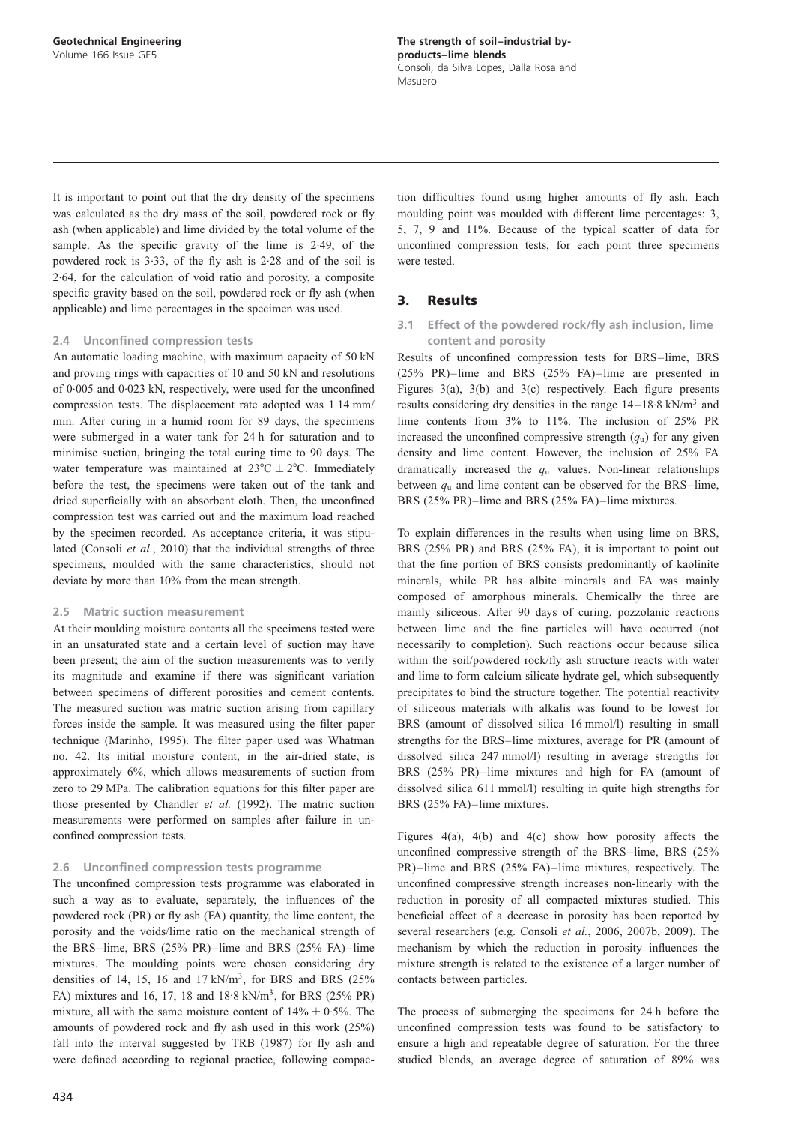It is important to point out that the dry density of the specimens was calculated as the dry mass of the soil, powdered rock or fly ash (when applicable) and lime divided by the total volume of the sample. As the specific gravity of the lime is 2. 49, of the powdered rock is 3.33, of the fly ash is 2.28 and of the soil is 2.64, for the calculation of void ratio and porosity, a composite specific gravity based on the soil, powdered rock or fly ash (when applicable) and lime percentages in the specimen was used.

#### 2.4 Unconfined compression tests

An automatic loading machine, with maximum capacity of 50 kN and proving rings with capacities of 10 and 50 kN and resolutions of 0. 005 and 0. 023 kN, respectively, were used for the unconfined compression tests. The displacement rate adopted was 1. 14 mm/ min. After curing in a humid room for 89 days, the specimens were submerged in a water tank for 24 h for saturation and to minimise suction, bringing the total curing time to 90 days. The water temperature was maintained at  $23^{\circ}C \pm 2^{\circ}C$ . Immediately before the test, the specimens were taken out of the tank and dried superficially with an absorbent cloth. Then, the unconfined compression test was carried out and the maximum load reached by the specimen recorded. As acceptance criteria, it was stipulated (Consoli et al., 2010) that the individual strengths of three specimens, moulded with the same characteristics, should not deviate by more than 10% from the mean strength.

#### 2.5 Matric suction measurement

At their moulding moisture contents all the specimens tested were in an unsaturated state and a certain level of suction may have been present; the aim of the suction measurements was to verify its magnitude and examine if there was significant variation between specimens of different porosities and cement contents. The measured suction was matric suction arising from capillary forces inside the sample. It was measured using the filter paper technique (Marinho, 1995). The filter paper used was Whatman no. 42. Its initial moisture content, in the air-dried state, is approximately 6%, which allows measurements of suction from zero to 29 MPa. The calibration equations for this filter paper are those presented by Chandler et al. (1992). The matric suction measurements were performed on samples after failure in unconfined compression tests.

## 2.6 Unconfined compression tests programme

The unconfined compression tests programme was elaborated in such a way as to evaluate, separately, the influences of the powdered rock (PR) or fly ash (FA) quantity, the lime content, the porosity and the voids/lime ratio on the mechanical strength of the BRS–lime, BRS (25% PR)–lime and BRS (25% FA)–lime mixtures. The moulding points were chosen considering dry densities of 14, 15, 16 and  $17 \text{ kN/m}^3$ , for BRS and BRS (25% FA) mixtures and 16, 17, 18 and  $18.8 \text{ kN/m}^3$ , for BRS (25% PR) mixture, all with the same moisture content of  $14\% \pm 0.5\%$ . The amounts of powdered rock and fly ash used in this work (25%) fall into the interval suggested by TRB (1987) for fly ash and were defined according to regional practice, following compaction difficulties found using higher amounts of fly ash. Each moulding point was moulded with different lime percentages: 3, 5, 7, 9 and 11%. Because of the typical scatter of data for unconfined compression tests, for each point three specimens were tested.

# 3. Results

## 3.1 Effect of the powdered rock/fly ash inclusion, lime content and porosity

Results of unconfined compression tests for BRS–lime, BRS (25% PR)–lime and BRS (25% FA)–lime are presented in Figures  $3(a)$ ,  $3(b)$  and  $3(c)$  respectively. Each figure presents results considering dry densities in the range  $14-18.8$  kN/m<sup>3</sup> and lime contents from 3% to 11%. The inclusion of 25% PR increased the unconfined compressive strength  $(q_u)$  for any given density and lime content. However, the inclusion of 25% FA dramatically increased the  $q_u$  values. Non-linear relationships between  $q_u$  and lime content can be observed for the BRS–lime, BRS (25% PR)–lime and BRS (25% FA)–lime mixtures.

To explain differences in the results when using lime on BRS, BRS (25% PR) and BRS (25% FA), it is important to point out that the fine portion of BRS consists predominantly of kaolinite minerals, while PR has albite minerals and FA was mainly composed of amorphous minerals. Chemically the three are mainly siliceous. After 90 days of curing, pozzolanic reactions between lime and the fine particles will have occurred (not necessarily to completion). Such reactions occur because silica within the soil/powdered rock/fly ash structure reacts with water and lime to form calcium silicate hydrate gel, which subsequently precipitates to bind the structure together. The potential reactivity of siliceous materials with alkalis was found to be lowest for BRS (amount of dissolved silica 16 mmol/l) resulting in small strengths for the BRS–lime mixtures, average for PR (amount of dissolved silica 247 mmol/l) resulting in average strengths for BRS (25% PR)–lime mixtures and high for FA (amount of dissolved silica 611 mmol/l) resulting in quite high strengths for BRS (25% FA)–lime mixtures.

Figures  $4(a)$ ,  $4(b)$  and  $4(c)$  show how porosity affects the unconfined compressive strength of the BRS–lime, BRS (25% PR)–lime and BRS (25% FA)–lime mixtures, respectively. The unconfined compressive strength increases non-linearly with the reduction in porosity of all compacted mixtures studied. This beneficial effect of a decrease in porosity has been reported by several researchers (e.g. Consoli et al., 2006, 2007b, 2009). The mechanism by which the reduction in porosity influences the mixture strength is related to the existence of a larger number of contacts between particles.

The process of submerging the specimens for 24 h before the unconfined compression tests was found to be satisfactory to ensure a high and repeatable degree of saturation. For the three studied blends, an average degree of saturation of 89% was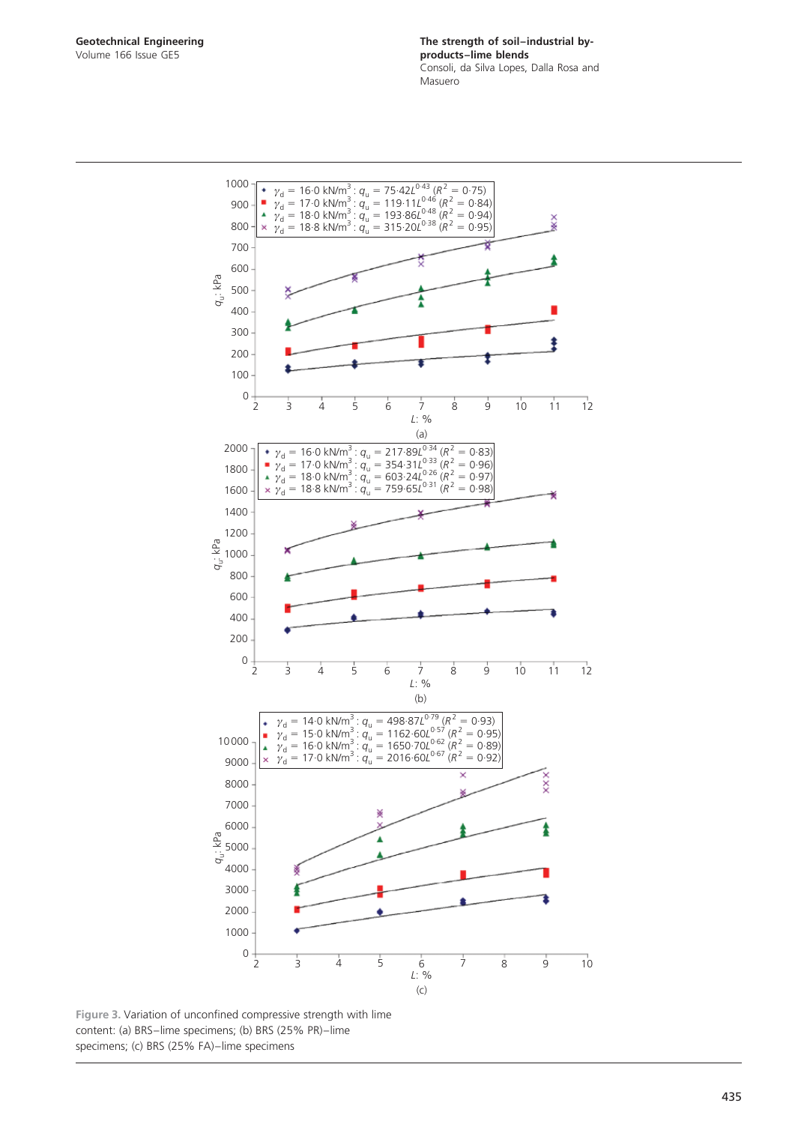

Figure 3. Variation of unconfined compressive strength with lime content: (a) BRS–lime specimens; (b) BRS (25% PR)–lime specimens; (c) BRS (25% FA)–lime specimens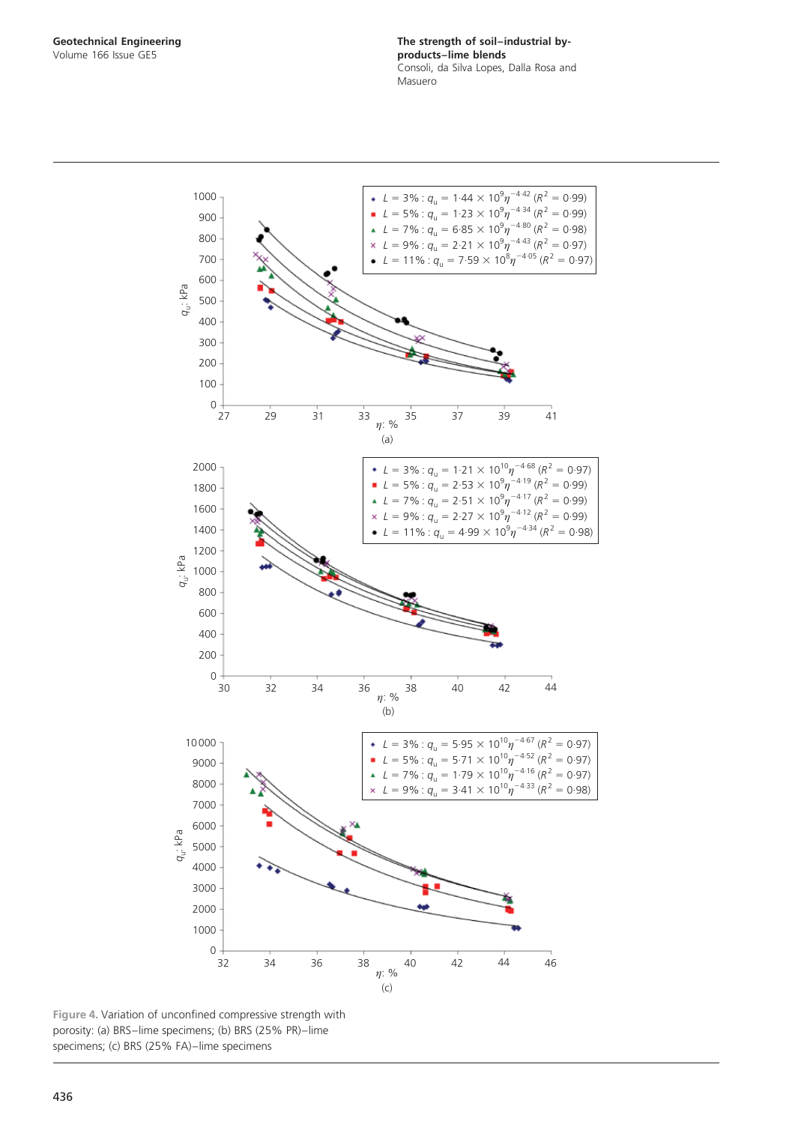

Figure 4. Variation of unconfined compressive strength with porosity: (a) BRS–lime specimens; (b) BRS (25% PR)–lime specimens; (c) BRS (25% FA)–lime specimens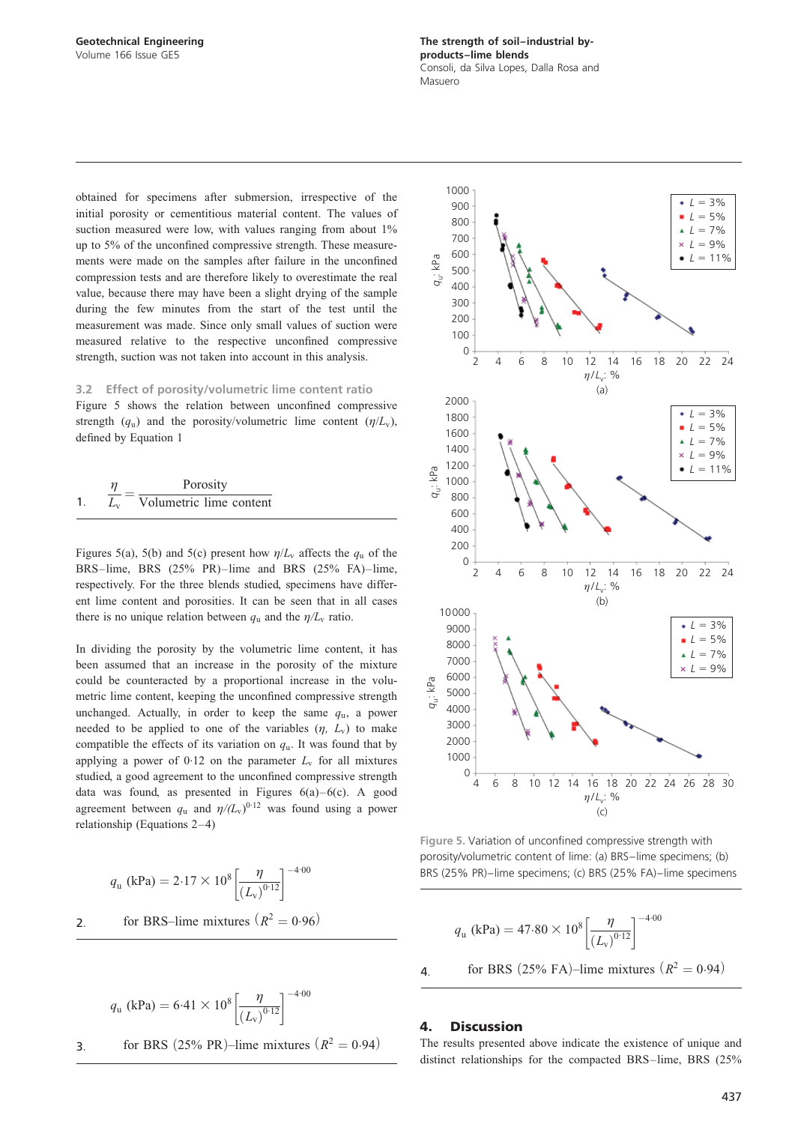obtained for specimens after submersion, irrespective of the initial porosity or cementitious material content. The values of suction measured were low, with values ranging from about  $1\%$ up to 5% of the unconfined compressive strength. These measurements were made on the samples after failure in the unconfined compression tests and are therefore likely to overestimate the real value, because there may have been a slight drying of the sample during the few minutes from the start of the test until the measurement was made. Since only small values of suction were measured relative to the respective unconfined compressive strength, suction was not taken into account in this analysis.

3.2 Effect of porosity/volumetric lime content ratio Figure 5 shows the relation between unconfined compressive strength  $(q_u)$  and the porosity/volumetric lime content  $(\eta/L_v)$ , defined by Equation 1

|    | Porosity                |  |
|----|-------------------------|--|
| Lv | Volumetric lime content |  |

Figures 5(a), 5(b) and 5(c) present how  $\eta/L_v$  affects the  $q_u$  of the BRS–lime, BRS (25% PR)–lime and BRS (25% FA)–lime, respectively. For the three blends studied, specimens have different lime content and porosities. It can be seen that in all cases there is no unique relation between  $q_u$  and the  $\eta/L_v$  ratio.

In dividing the porosity by the volumetric lime content, it has been assumed that an increase in the porosity of the mixture could be counteracted by a proportional increase in the volumetric lime content, keeping the unconfined compressive strength unchanged. Actually, in order to keep the same  $q_{\rm u}$ , a power needed to be applied to one of the variables  $(\eta, L_v)$  to make compatible the effects of its variation on  $q_u$ . It was found that by applying a power of 0.12 on the parameter  $L<sub>v</sub>$  for all mixtures studied, a good agreement to the unconfined compressive strength data was found, as presented in Figures 6(a)–6(c). A good agreement between  $q_u$  and  $\eta/(L_v)^{0.12}$  was found using a power relationship (Equations 2–4)

$$
q_u \text{ (kPa)} = 2.17 \times 10^8 \left[ \frac{\eta}{(L_v)^{0.12}} \right]^{-4.00}
$$
  
2. for BRS–lime mixtures  $(R^2 = 0.96)$ 

$$
q_u
$$
 (kPa) = 6.41 × 10<sup>8</sup>  $\left[ \frac{\eta}{(L_v)^{0.12}} \right]^{-4.00}$   
3. for BRS (25% PR)-lime mixtures ( $R^2 = 0.94$ )



Figure 5. Variation of unconfined compressive strength with porosity/volumetric content of lime: (a) BRS–lime specimens; (b) BRS (25% PR)–lime specimens; (c) BRS (25% FA)–lime specimens

$$
q_u
$$
 (kPa) = 47.80 × 10<sup>8</sup>  $\left[ \frac{\eta}{(L_v)^{0.12}} \right]^{-4.00}$   
4. for BRS (25% FA)-lime mixtures ( $R^2 = 0.94$ )

# 4. Discussion

The results presented above indicate the existence of unique and distinct relationships for the compacted BRS–lime, BRS (25%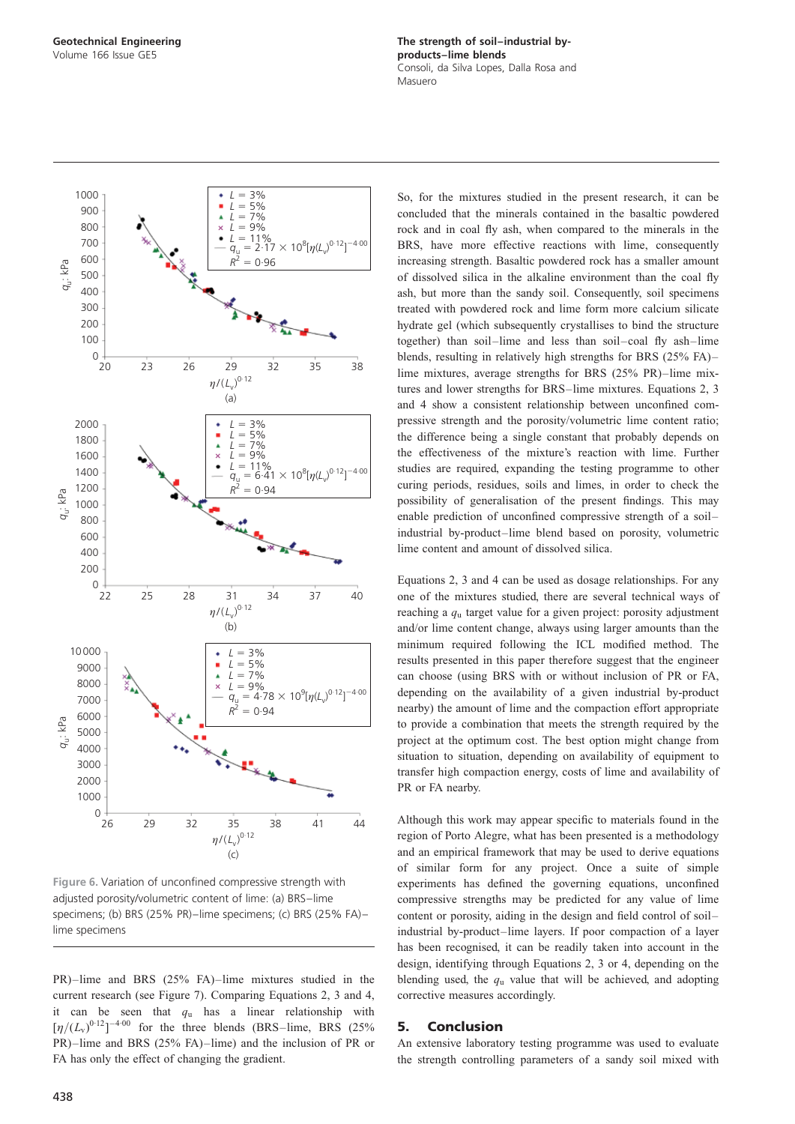

Figure 6. Variation of unconfined compressive strength with adjusted porosity/volumetric content of lime: (a) BRS–lime specimens; (b) BRS (25% PR)–lime specimens; (c) BRS (25% FA)– lime specimens

PR)–lime and BRS (25% FA)–lime mixtures studied in the current research (see Figure 7). Comparing Equations 2, 3 and 4, it can be seen that  $q_u$  has a linear relationship with  $[\eta/(L_v)^{0.12}]^{-4.00}$  for the three blends (BRS–lime, BRS (25%) PR)–lime and BRS (25% FA)–lime) and the inclusion of PR or FA has only the effect of changing the gradient.

So, for the mixtures studied in the present research, it can be concluded that the minerals contained in the basaltic powdered rock and in coal fly ash, when compared to the minerals in the BRS, have more effective reactions with lime, consequently increasing strength. Basaltic powdered rock has a smaller amount of dissolved silica in the alkaline environment than the coal fly ash, but more than the sandy soil. Consequently, soil specimens treated with powdered rock and lime form more calcium silicate hydrate gel (which subsequently crystallises to bind the structure together) than soil–lime and less than soil–coal fly ash–lime blends, resulting in relatively high strengths for BRS (25% FA)– lime mixtures, average strengths for BRS (25% PR)–lime mixtures and lower strengths for BRS–lime mixtures. Equations 2, 3 and 4 show a consistent relationship between unconfined compressive strength and the porosity/volumetric lime content ratio; the difference being a single constant that probably depends on the effectiveness of the mixture's reaction with lime. Further studies are required, expanding the testing programme to other curing periods, residues, soils and limes, in order to check the possibility of generalisation of the present findings. This may enable prediction of unconfined compressive strength of a soil– industrial by-product–lime blend based on porosity, volumetric lime content and amount of dissolved silica.

Equations 2, 3 and 4 can be used as dosage relationships. For any one of the mixtures studied, there are several technical ways of reaching a  $q_u$  target value for a given project: porosity adjustment and/or lime content change, always using larger amounts than the minimum required following the ICL modified method. The results presented in this paper therefore suggest that the engineer can choose (using BRS with or without inclusion of PR or FA, depending on the availability of a given industrial by-product nearby) the amount of lime and the compaction effort appropriate to provide a combination that meets the strength required by the project at the optimum cost. The best option might change from situation to situation, depending on availability of equipment to transfer high compaction energy, costs of lime and availability of PR or FA nearby.

Although this work may appear specific to materials found in the region of Porto Alegre, what has been presented is a methodology and an empirical framework that may be used to derive equations of similar form for any project. Once a suite of simple experiments has defined the governing equations, unconfined compressive strengths may be predicted for any value of lime content or porosity, aiding in the design and field control of soil– industrial by-product–lime layers. If poor compaction of a layer has been recognised, it can be readily taken into account in the design, identifying through Equations 2, 3 or 4, depending on the blending used, the  $q_u$  value that will be achieved, and adopting corrective measures accordingly.

# 5. Conclusion

An extensive laboratory testing programme was used to evaluate the strength controlling parameters of a sandy soil mixed with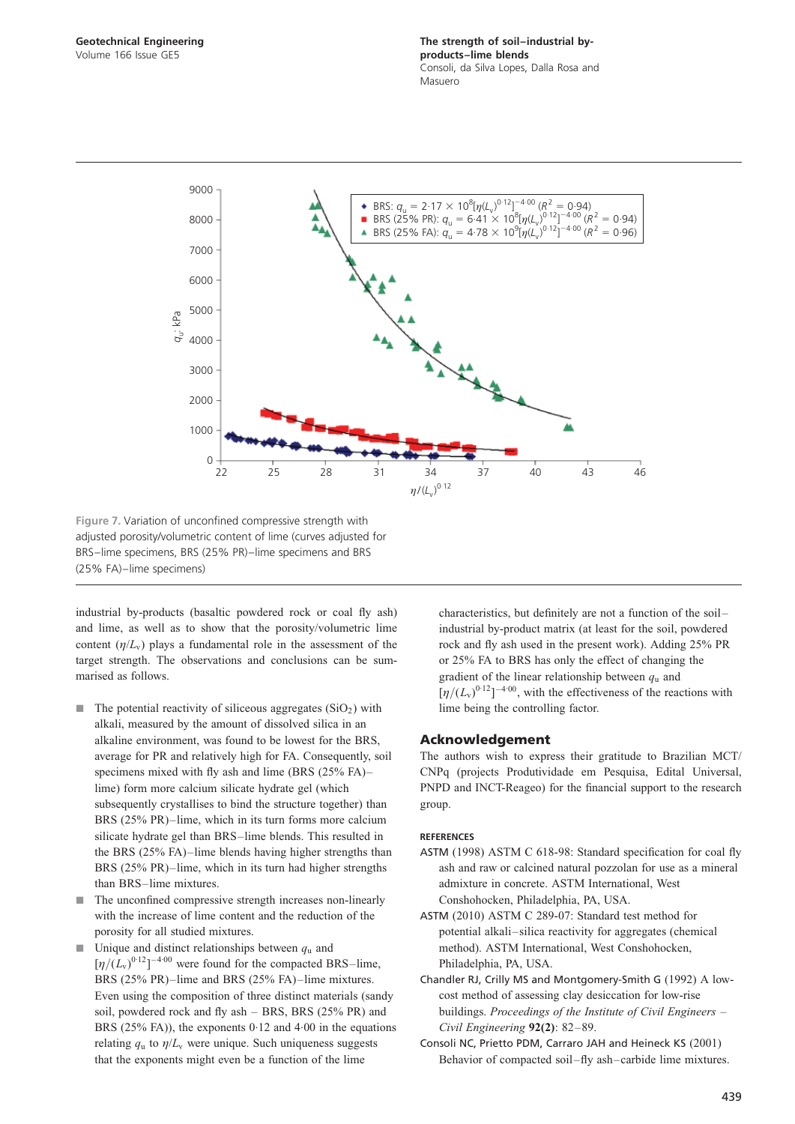

Figure 7. Variation of unconfined compressive strength with adjusted porosity/volumetric content of lime (curves adjusted for BRS–lime specimens, BRS (25% PR)–lime specimens and BRS (25% FA)–lime specimens)

industrial by-products (basaltic powdered rock or coal fly ash) and lime, as well as to show that the porosity/volumetric lime content  $(\eta/L_v)$  plays a fundamental role in the assessment of the target strength. The observations and conclusions can be summarised as follows.

- $\blacksquare$  The potential reactivity of siliceous aggregates (SiO<sub>2</sub>) with alkali, measured by the amount of dissolved silica in an alkaline environment, was found to be lowest for the BRS, average for PR and relatively high for FA. Consequently, soil specimens mixed with fly ash and lime (BRS (25% FA)– lime) form more calcium silicate hydrate gel (which subsequently crystallises to bind the structure together) than BRS (25% PR)–lime, which in its turn forms more calcium silicate hydrate gel than BRS–lime blends. This resulted in the BRS (25% FA)–lime blends having higher strengths than BRS (25% PR)–lime, which in its turn had higher strengths than BRS–lime mixtures.
- $\blacksquare$  The unconfined compressive strength increases non-linearly with the increase of lime content and the reduction of the porosity for all studied mixtures.
- Unique and distinct relationships between  $q_u$  and  $[\eta/(L_v)^{0.12}]^{-4.00}$  were found for the compacted BRS–lime, BRS (25% PR)–lime and BRS (25% FA)–lime mixtures. Even using the composition of three distinct materials (sandy soil, powdered rock and fly ash – BRS, BRS (25% PR) and BRS (25% FA)), the exponents 0.12 and 4.00 in the equations relating  $q_u$  to  $\eta/L_v$  were unique. Such uniqueness suggests that the exponents might even be a function of the lime

characteristics, but definitely are not a function of the soil– industrial by-product matrix (at least for the soil, powdered rock and fly ash used in the present work). Adding 25% PR or 25% FA to BRS has only the effect of changing the gradient of the linear relationship between  $q_u$  and  $[\eta/(L_v)^{0.12}]^{-4.00}$ , with the effectiveness of the reactions with lime being the controlling factor.

# Acknowledgement

The authors wish to express their gratitude to Brazilian MCT/ CNPq (projects Produtividade em Pesquisa, Edital Universal, PNPD and INCT-Reageo) for the financial support to the research group.

## **REFERENCES**

- ASTM (1998) ASTM C 618-98: Standard specification for coal fly ash and raw or calcined natural pozzolan for use as a mineral admixture in concrete. ASTM International, West Conshohocken, Philadelphia, PA, USA.
- ASTM (2010) ASTM C 289-07: Standard test method for potential alkali–silica reactivity for aggregates (chemical method). ASTM International, West Conshohocken, Philadelphia, PA, USA.
- Chandler RJ, Crilly MS and Montgomery-Smith G (1992) A lowcost method of assessing clay desiccation for low-rise buildings. Proceedings of the Institute of Civil Engineers – Civil Engineering 92(2): 82–89.
- Consoli NC, Prietto PDM, Carraro JAH and Heineck KS (2001) Behavior of compacted soil–fly ash–carbide lime mixtures.